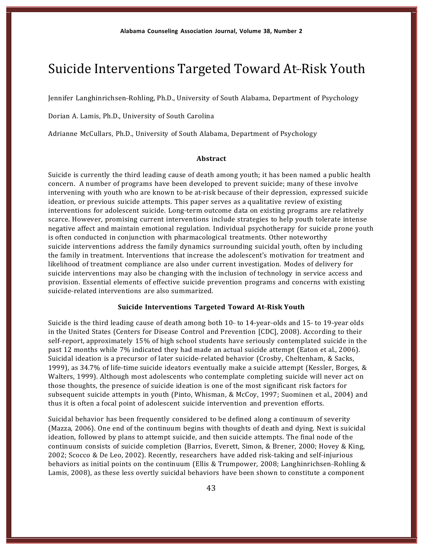# Suicide Interventions Targeted Toward At-Risk Youth

Jennifer Langhinrichsen-Rohling, Ph.D., University of South Alabama, Department of Psychology

Dorian A. Lamis, Ph.D., University of South Carolina

Adrianne McCullars, Ph.D., University of South Alabama, Department of Psychology

# **Abstract**

Suicide is currently the third leading cause of death among youth; it has been named a public health concern. A number of programs have been developed to prevent suicide; many of these involve intervening with youth who are known to be at-risk because of their depression, expressed suicide ideation, or previous suicide attempts. This paper serves as a qualitative review of existing interventions for adolescent suicide. Long-term outcome data on existing programs are relatively scarce. However, promising current interventions include strategies to help youth tolerate intense negative affect and maintain emotional regulation. Individual psychotherapy for suicide prone youth is often conducted in conjunction with pharmacological treatments. Other noteworthy suicide interventions address the family dynamics surrounding suicidal youth, often by including the family in treatment. Interventions that increase the adolescent's motivation for treatment and likelihood of treatment compliance are also under current investigation. Modes of delivery for suicide interventions may also be changing with the inclusion of technology in service access and provision. Essential elements of effective suicide prevention programs and concerns with existing suicide-related interventions are also summarized.

# **Suicide Interventions Targeted Toward At-Risk Youth**

Suicide is the third leading cause of death among both  $10-$ - to  $14-$ year-olds and  $15-$  to  $19-$ year olds in the United States (Centers for Disease Control and Prevention [CDC], 2008). According to their self-report, approximately 15% of high school students have seriously contemplated suicide in the past 12 months while 7% indicated they had made an actual suicide attempt (Eaton et al., 2006). Suicidal ideation is a precursor of later suicide-related behavior (Crosby, Cheltenham, & Sacks, 1999), as 34.7% of life-time suicide ideators eventually make a suicide attempt (Kessler, Borges, & Walters, 1999). Although most adolescents who contemplate completing suicide will never act on those thoughts, the presence of suicide ideation is one of the most significant risk factors for subsequent suicide attempts in youth (Pinto, Whisman, & McCoy, 1997; Suominen et al., 2004) and thus it is often a focal point of adolescent suicide intervention and prevention efforts.

Suicidal behavior has been frequently considered to be defined along a continuum of severity (Mazza, 2006). One end of the continuum begins with thoughts of death and dying. Next is suicidal ideation, followed by plans to attempt suicide, and then suicide attempts. The final node of the continuum consists of suicide completion (Barrios, Everett, Simon, & Brener, 2000; Hovey & King, 2002; Scocco & De Leo, 2002). Recently, researchers have added risk-taking and self-injurious behaviors as initial points on the continuum (Ellis & Trumpower, 2008; Langhinrichsen-Rohling & Lamis, 2008), as these less overtly suicidal behaviors have been shown to constitute a component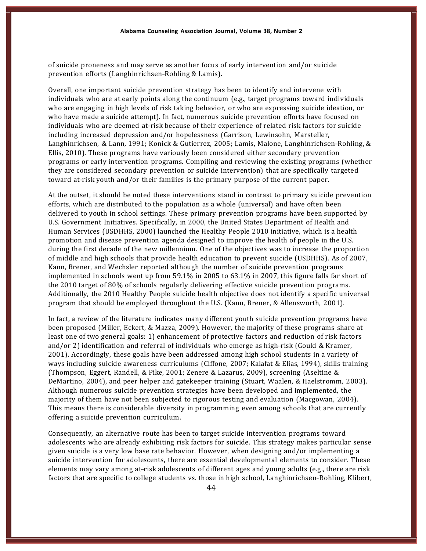of suicide proneness and may serve as another focus of early intervention and/or suicide prevention efforts (Langhinrichsen-Rohling & Lamis).

Overall, one important suicide prevention strategy has been to identify and intervene with individuals who are at early points along the continuum (e.g., target programs toward individuals who are engaging in high levels of risk taking behavior, or who are expressing suicide ideation, or who have made a suicide attempt). In fact, numerous suicide prevention efforts have focused on individuals who are deemed at-risk because of their experience of related risk factors for suicide including increased depression and/or hopelessness (Garrison, Lewinsohn, Marsteller, Langhinrichsen, & Lann, 1991; Konick & Gutierrez, 2005; Lamis, Malone, Langhinrichsen-Rohling, & Ellis, 2010). These programs have variously been considered either secondary prevention programs or early intervention programs. Compiling and reviewing the existing programs (whether they are considered secondary prevention or suicide intervention) that are specifically targeted toward at-risk youth and/or their families is the primary purpose of the current paper.

At the outset, it should be noted these interventions stand in contrast to primary suicide prevention efforts, which are distributed to the population as a whole (universal) and have often been delivered to youth in school settings. These primary prevention programs have been supported by U.S. Government Initiatives. Specifically, in 2000, the United States Department of Health and Human Services (USDHHS, 2000) launched the Healthy People 2010 initiative, which is a health promotion and disease prevention agenda designed to improve the health of people in the U.S. during the first decade of the new millennium. One of the objectives was to increase the proportion of middle and high schools that provide health education to prevent suicide (USDHHS). As of 2007, Kann, Brener, and Wechsler reported although the number of suicide prevention programs implemented in schools went up from 59.1% in 2005 to 63.1% in 2007, this figure falls far short of the 2010 target of 80% of schools regularly delivering effective suicide prevention programs. Additionally, the 2010 Healthy People suicide health objective does not identify a specific universal program that should be employed throughout the U.S. (Kann, Brener, & Allensworth, 2001).

In fact, a review of the literature indicates many different youth suicide prevention programs have been proposed (Miller, Eckert, & Mazza, 2009). However, the majority of these programs share at least one of two general goals: 1) enhancement of protective factors and reduction of risk factors and/or 2) identification and referral of individuals who emerge as high-risk (Gould & Kramer, 2001). Accordingly, these goals have been addressed among high school students in a variety of ways including suicide awareness curriculums (Ciffone, 2007; Kalafat & Elias, 1994), skills training (Thompson, Eggert, Randell, & Pike, 2001; Zenere & Lazarus, 2009), screening (Aseltine & DeMartino, 2004), and peer helper and gatekeeper training (Stuart, Waalen, & Haelstromm, 2003). Although numerous suicide prevention strategies have been developed and implemented, the majority of them have not been subjected to rigorous testing and evaluation (Macgowan, 2004). This means there is considerable diversity in programming even among schools that are currently offering a suicide prevention curriculum.

Consequently, an alternative route has been to target suicide intervention programs toward adolescents who are already exhibiting risk factors for suicide. This strategy makes particular sense given suicide is a very low base rate behavior. However, when designing and/or implementing a suicide intervention for adolescents, there are essential developmental elements to consider. These elements may vary among at-risk adolescents of different ages and young adults (e.g., there are risk factors that are specific to college students vs. those in high school, Langhinrichsen-Rohling, Klibert,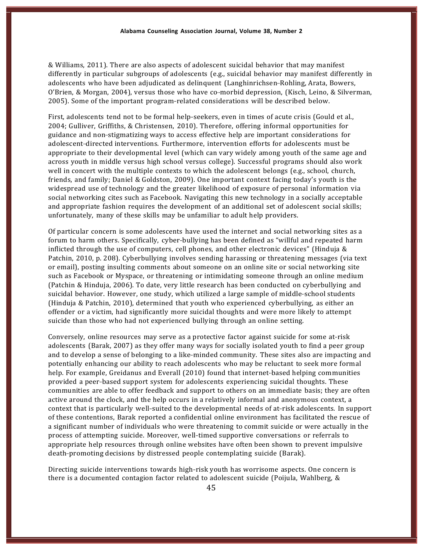& Williams, 2011). There are also aspects of adolescent suicidal behavior that may manifest differently in particular subgroups of adolescents (e.g., suicidal behavior may manifest differently in adolescents who have been adjudicated as delinquent (Langhinrichsen-Rohling, Arata, Bowers, O'Brien, & Morgan, 2004), versus those who have co-morbid depression, (Kisch, Leino, & Silverman, 2005). Some of the important program-related considerations will be described below.

First, adolescents tend not to be formal help-seekers, even in times of acute crisis (Gould et al., 2004; Gulliver, Griffiths, & Christensen, 2010). Therefore, offering informal opportunities for guidance and non-stigmatizing ways to access effective help are important considerations for adolescent-directed interventions. Furthermore, intervention efforts for adolescents must be appropriate to their developmental level (which can vary widely among youth of the same age and across youth in middle versus high school versus college). Successful programs should also work well in concert with the multiple contexts to which the adolescent belongs (e.g., school, church, friends, and family; Daniel & Goldston, 2009). One important context facing today's youth is the widespread use of technology and the greater likelihood of exposure of personal information via social networking cites such as Facebook. Navigating this new technology in a socially acceptable and appropriate fashion requires the development of an additional set of adolescent social skills; unfortunately, many of these skills may be unfamiliar to adult help providers.

Of particular concern is some adolescents have used the internet and social networking sites as a forum to harm others. Specifically, cyber-bullying has been defined as "willful and repeated harm inflicted through the use of computers, cell phones, and other electronic devices" (Hinduja & Patchin, 2010, p. 208). Cyberbullying involves sending harassing or threatening messages (via text or email), posting insulting comments about someone on an online site or social networking site such as Facebook or Myspace, or threatening or intimidating someone through an online medium (Patchin & Hinduja, 2006). To date, very little research has been conducted on cyberbullying and suicidal behavior. However, one study, which utilized a large sample of middle-school students (Hinduja & Patchin, 2010), determined that youth who experienced cyberbullying, as either an offender or a victim, had significantly more suicidal thoughts and were more likely to attempt suicide than those who had not experienced bullying through an online setting.

Conversely, online resources may serve as a protective factor against suicide for some at-risk adolescents (Barak, 2007) as they offer many ways for socially isolated youth to find a peer group and to develop a sense of belonging to a like-minded community. These sites also are impacting and potentially enhancing our ability to reach adolescents who may be reluctant to seek more formal help. For example, Greidanus and Everall (2010) found that internet-based helping communities provided a peer-based support system for adolescents experiencing suicidal thoughts. These communities are able to offer feedback and support to others on an immediate basis; they are often active around the clock, and the help occurs in a relatively informal and anonymous context, a context that is particularly well-suited to the developmental needs of at-risk adolescents. In support of these contentions, Barak reported a confidential online environment has facilitated the rescue of a significant number of individuals who were threatening to commit suicide or were actually in the process of attempting suicide. Moreover, well-timed supportive conversations or referrals to appropriate help resources through online websites have often been shown to prevent impulsive death-promoting decisions by distressed people contemplating suicide (Barak).

Directing suicide interventions towards high-risk youth has worrisome aspects. One concern is there is a documented contagion factor related to adolescent suicide (Poijula, Wahlberg, &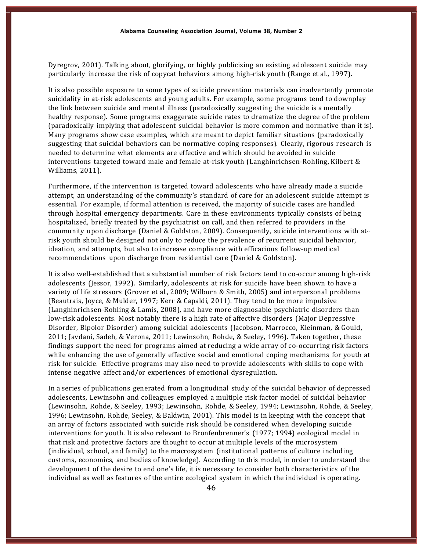Dyregrov, 2001). Talking about, glorifying, or highly publicizing an existing adolescent suicide may particularly increase the risk of copycat behaviors among high-risk youth (Range et al., 1997).

It is also possible exposure to some types of suicide prevention materials can inadvertently promote suicidality in at-risk adolescents and young adults. For example, some programs tend to downplay the link between suicide and mental illness (paradoxically suggesting the suicide is a mentally healthy response). Some programs exaggerate suicide rates to dramatize the degree of the problem (paradoxically implying that adolescent suicidal behavior is more common and normative than it is). Many programs show case examples, which are meant to depict familiar situations (paradoxically suggesting that suicidal behaviors can be normative coping responses). Clearly, rigorous research is needed to determine what elements are effective and which should be avoided in suicide interventions targeted toward male and female at-risk youth (Langhinrichsen-Rohling, Kilbert  $\&$ Williams, 2011).

Furthermore, if the intervention is targeted toward adolescents who have already made a suicide attempt, an understanding of the community's standard of care for an adolescent suicide attempt is essential. For example, if formal attention is received, the majority of suicide cases are handled through hospital emergency departments. Care in these environments typically consists of being hospitalized, briefly treated by the psychiatrist on call, and then referred to providers in the community upon discharge (Daniel & Goldston, 2009). Consequently, suicide interventions with at-risk youth should be designed not only to reduce the prevalence of recurrent suicidal behavior, ideation, and attempts, but also to increase compliance with efficacious follow-up medical recommendations upon discharge from residential care (Daniel & Goldston).

It is also well-established that a substantial number of risk factors tend to co-occur among high-risk adolescents (Jessor, 1992). Similarly, adolescents at risk for suicide have been shown to have a variety of life stressors (Grover et al., 2009; Wilburn & Smith, 2005) and interpersonal problems (Beautrais, Joyce, & Mulder, 1997; Kerr & Capaldi, 2011). They tend to be more impulsive (Langhinrichsen-Rohling & Lamis, 2008), and have more diagnosable psychiatric disorders than low-risk adolescents. Most notably there is a high rate of affective disorders (Major Depressive Disorder, Bipolor Disorder) among suicidal adolescents (Jacobson, Marrocco, Kleinman, & Gould, 2011; Javdani, Sadeh, & Verona, 2011; Lewinsohn, Rohde, & Seeley, 1996). Taken together, these findings support the need for programs aimed at reducing a wide array of  $co$ - $occurring$  risk factors while enhancing the use of generally effective social and emotional coping mechanisms for youth at risk for suicide. Effective programs may also need to provide adolescents with skills to cope with intense negative affect and/or experiences of emotional dysregulation.

In a series of publications generated from a longitudinal study of the suicidal behavior of depressed adolescents, Lewinsohn and colleagues employed a multiple risk factor model of suicidal behavior (Lewinsohn, Rohde, & Seeley, 1993; Lewinsohn, Rohde, & Seeley, 1994; Lewinsohn, Rohde, & Seeley, 1996; Lewinsohn, Rohde, Seeley, & Baldwin, 2001). This model is in keeping with the concept that an array of factors associated with suicide risk should be considered when developing suicide interventions for youth. It is also relevant to Bronfenbrenner's (1977; 1994) ecological model in that risk and protective factors are thought to occur at multiple levels of the microsystem (individual, school, and family) to the macrosystem (institutional patterns of culture including customs, economics, and bodies of knowledge). According to this model, in order to understand the development of the desire to end one's life, it is necessary to consider both characteristics of the individual as well as features of the entire ecological system in which the individual is operating.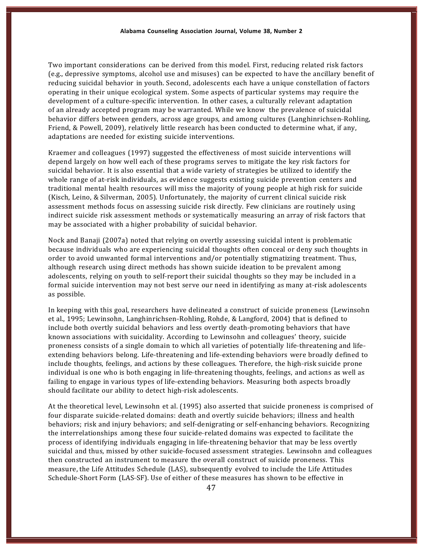Two important considerations can be derived from this model. First, reducing related risk factors (e.g., depressive symptoms, alcohol use and misuses) can be expected to have the ancillary benefit of reducing suicidal behavior in youth. Second, adolescents each have a unique constellation of factors operating in their unique ecological system. Some aspects of particular systems may require the development of a culture-specific intervention. In other cases, a culturally relevant adaptation of an already accepted program may be warranted. While we know the prevalence of suicidal behavior differs between genders, across age groups, and among cultures (Langhinrichsen-Rohling, Friend, & Powell, 2009), relatively little research has been conducted to determine what, if any, adaptations are needed for existing suicide interventions.

Kraemer and colleagues (1997) suggested the effectiveness of most suicide interventions will depend largely on how well each of these programs serves to mitigate the key risk factors for suicidal behavior. It is also essential that a wide variety of strategies be utilized to identify the whole range of at-risk individuals, as evidence suggests existing suicide prevention centers and traditional mental health resources will miss the majority of young people at high risk for suicide (Kisch, Leino, & Silverman, 2005). Unfortunately, the majority of current clinical suicide risk assessment methods focus on assessing suicide risk directly. Few clinicians are routinely using indirect suicide risk assessment methods or systematically measuring an array of risk factors that may be associated with a higher probability of suicidal behavior.

Nock and Banaji (2007a) noted that relying on overtly assessing suicidal intent is problematic because individuals who are experiencing suicidal thoughts often conceal or deny such thoughts in order to avoid unwanted formal interventions and/or potentially stigmatizing treatment. Thus, although research using direct methods has shown suicide ideation to be prevalent among adolescents, relying on youth to self-report their suicidal thoughts so they may be included in a formal suicide intervention may not best serve our need in identifying as many at-risk adolescents as possible.

In keeping with this goal, researchers have delineated a construct of suicide proneness (Lewinsohn et al., 1995; Lewinsohn, Langhinrichsen-Rohling, Rohde, & Langford, 2004) that is defined to include both overtly suicidal behaviors and less overtly death-promoting behaviors that have known associations with suicidality. According to Lewinsohn and colleagues' theory, suicide proneness consists of a single domain to which all varieties of potentially life-threatening and lifeextending behaviors belong. Life-threatening and life-extending behaviors were broadly defined to include thoughts, feelings, and actions by these colleagues. Therefore, the high-risk suicide prone individual is one who is both engaging in life-threatening thoughts, feelings, and actions as well as failing to engage in various types of life-extending behaviors. Measuring both aspects broadly should facilitate our ability to detect high-risk adolescents.

At the theoretical level, Lewinsohn et al. (1995) also asserted that suicide proneness is comprised of four disparate suicide-related domains: death and overtly suicide behaviors; illness and health behaviors; risk and injury behaviors; and self-denigrating or self-enhancing behaviors. Recognizing the interrelationships among these four suicide-related domains was expected to facilitate the process of identifying individuals engaging in life-threatening behavior that may be less overtly suicidal and thus, missed by other suicide-focused assessment strategies. Lewinsohn and colleagues then constructed an instrument to measure the overall construct of suicide proneness. This measure, the Life Attitudes Schedule (LAS), subsequently evolved to include the Life Attitudes Schedule-Short Form (LAS-SF). Use of either of these measures has shown to be effective in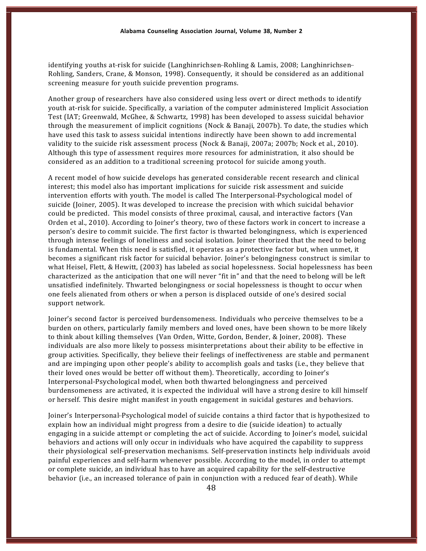identifying youths at-risk for suicide (Langhinrichsen--Rohling & Lamis, 2008; Langhinrichsen-Rohling, Sanders, Crane, & Monson, 1998). Consequently, it should be considered as an additional screening measure for youth suicide prevention programs.

Another group of researchers have also considered using less overt or direct methods to identify youth at-risk for suicide. Specifically, a variation of the computer administered Implicit Association Test (IAT; Greenwald, McGhee, & Schwartz, 1998) has been developed to assess suicidal behavior through the measurement of implicit cognitions (Nock & Banaji, 2007b). To date, the studies which have used this task to assess suicidal intentions indirectly have been shown to add incremental validity to the suicide risk assessment process (Nock & Banaji, 2007a; 2007b; Nock et al., 2010). Although this type of assessment requires more resources for administration, it also should be considered as an addition to a traditional screening protocol for suicide among youth.

A recent model of how suicide develops has generated considerable recent research and clinical interest; this model also has important implications for suicide risk assessment and suicide intervention efforts with youth. The model is called The Interpersonal-Psychological model of suicide (Joiner, 2005). It was developed to increase the precision with which suicidal behavior could be predicted. This model consists of three proximal, causal, and interactive factors (Van Orden et al., 2010). According to Joiner's theory, two of these factors work in concert to increase a person's desire to commit suicide. The first factor is thwarted belongingness, which is experienced through intense feelings of loneliness and social isolation. Joiner theorized that the need to belong is fundamental. When this need is satisfied, it operates as a protective factor but, when unmet, it becomes a significant risk factor for suicidal behavior. Joiner's belongingness construct is similar to what Heisel, Flett, & Hewitt, (2003) has labeled as social hopelessness. Social hopelessness has been characterized as the anticipation that one will never "fit in" and that the need to belong will be left unsatisfied indefinitely. Thwarted belongingness or social hopelessness is thought to occur when one feels alienated from others or when a person is displaced outside of one's desired social support network.

Joiner's second factor is perceived burdensomeness. Individuals who perceive themselves to be a burden on others, particularly family members and loved ones, have been shown to be more likely to think about killing themselves (Van Orden, Witte, Gordon, Bender, & Joiner, 2008). These individuals are also more likely to possess misinterpretations about their ability to be effective in group activities. Specifically, they believe their feelings of ineffectiveness are stable and permanent and are impinging upon other people's ability to accomplish goals and tasks (i.e., they believe that their loved ones would be better off without them). Theoretically, according to Joiner's Interpersonal-Psychological model, when both thwarted belongingness and perceived burdensomeness are activated, it is expected the individual will have a strong desire to kill himself or herself. This desire might manifest in youth engagement in suicidal gestures and behaviors.

Joiner's Interpersonal-Psychological model of suicide contains a third factor that is hypothesized to explain how an individual might progress from a desire to die (suicide ideation) to actually engaging in a suicide attempt or completing the act of suicide. According to Joiner's model, suicidal behaviors and actions will only occur in individuals who have acquired the capability to suppress their physiological self-preservation mechanisms. Self-preservation instincts help individuals avoid painful experiences and self-harm whenever possible. According to the model, in order to attempt or complete suicide, an individual has to have an acquired capability for the self-destructive behavior (i.e., an increased tolerance of pain in conjunction with a reduced fear of death). While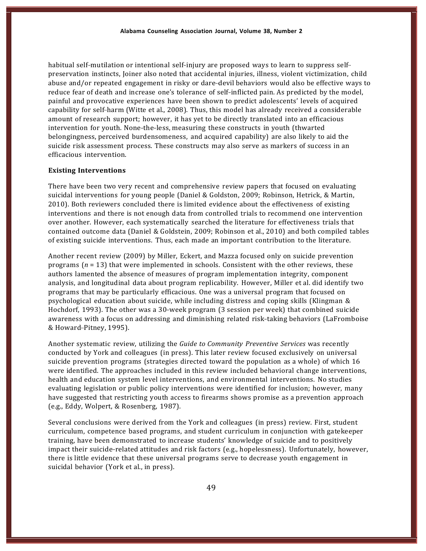habitual self-mutilation or intentional self-injury are proposed ways to learn to suppress selfpreservation instincts, Joiner also noted that accidental injuries, illness, violent victimization, child abuse and/or repeated engagement in risky or dare-devil behaviors would also be effective ways to reduce fear of death and increase one's tolerance of self-inflicted pain. As predicted by the model, painful and provocative experiences have been shown to predict adolescents' levels of acquired capability for self-harm (Witte et al., 2008). Thus, this model has already received a considerable amount of research support; however, it has yet to be directly translated into an efficacious intervention for youth. None-the-less, measuring these constructs in youth (thwarted belongingness, perceived burdensomeness, and acquired capability) are also likely to aid the suicide risk assessment process. These constructs may also serve as markers of success in an efficacious intervention.

#### **Existing Interventions**

There have been two very recent and comprehensive review papers that focused on evaluating suicidal interventions for young people (Daniel & Goldston, 2009; Robinson, Hetrick, & Martin, 2010). Both reviewers concluded there is limited evidence about the effectiveness of existing interventions and there is not enough data from controlled trials to recommend one intervention over another. However, each systematically searched the literature for effectiveness trials that contained outcome data (Daniel & Goldstein, 2009; Robinson et al., 2010) and both compiled tables of existing suicide interventions. Thus, each made an important contribution to the literature.

Another recent review (2009) by Miller, Eckert, and Mazza focused only on suicide prevention programs (*n* = 13) that were implemented in schools. Consistent with the other reviews, these authors lamented the absence of measures of program implementation integrity, component analysis, and longitudinal data about program replicability. However, Miller et al. did identify two programs that may be particularly efficacious. One was a universal program that focused on psychological education about suicide, while including distress and coping skills (Klingman & Hochdorf, 1993). The other was a 30-week program (3 session per week) that combined suicide awareness with a focus on addressing and diminishing related risk-taking behaviors (LaFromboise & Howard-Pitney, 1995).

Another systematic review, utilizing the *Guide to Community Preventive Services* was recently conducted by York and colleagues (in press). This later review focused exclusively on universal suicide prevention programs (strategies directed toward the population as a whole) of which 16 were identified. The approaches included in this review included behavioral change interventions, health and education system level interventions, and environmental interventions. No studies evaluating legislation or public policy interventions were identified for inclusion; however, many have suggested that restricting youth access to firearms shows promise as a prevention approach (e.g., Eddy, Wolpert, & Rosenberg, 1987).

Several conclusions were derived from the York and colleagues (in press) review. First, student curriculum, competence based programs, and student curriculum in conjunction with gatekeeper training, have been demonstrated to increase students' knowledge of suicide and to positively impact their suicide-related attitudes and risk factors (e.g., hopelessness). Unfortunately, however, there is little evidence that these universal programs serve to decrease youth engagement in suicidal behavior (York et al., in press).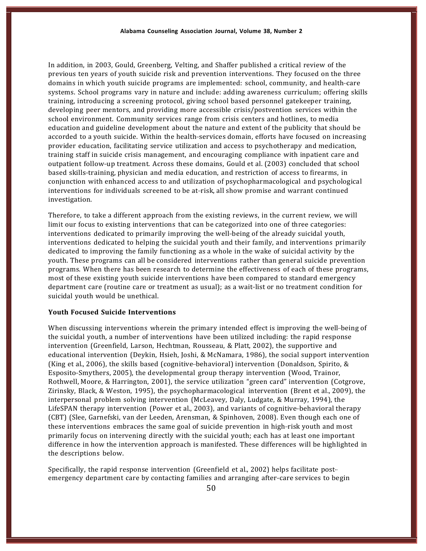In addition, in 2003, Gould, Greenberg, Velting, and Shaffer published a critical review of the previous ten years of youth suicide risk and prevention interventions. They focused on the three domains in which youth suicide programs are implemented: school, community, and health-care systems. School programs vary in nature and include: adding awareness curriculum; offering skills training, introducing a screening protocol, giving school based personnel gatekeeper training, developing peer mentors, and providing more accessible crisis/postvention services within the school environment. Community services range from crisis centers and hotlines, to media education and guideline development about the nature and extent of the publicity that should be accorded to a youth suicide. Within the health-services domain, efforts have focused on increasing provider education, facilitating service utilization and access to psychotherapy and medication, training staff in suicide crisis management, and encouraging compliance with inpatient care and outpatient follow-up treatment. Across these domains, Gould et al. (2003) concluded that school based skills-training, physician and media education, and restriction of access to firearms, in conjunction with enhanced access to and utilization of psychopharmacological and psychological interventions for individuals screened to be at-risk, all show promise and warrant continued investigation.

Therefore, to take a different approach from the existing reviews, in the current review, we will limit our focus to existing interventions that can be categorized into one of three categories: interventions dedicated to primarily improving the well-being of the already suicidal youth, interventions dedicated to helping the suicidal youth and their family, and interventions primarily dedicated to improving the family functioning as a whole in the wake of suicidal activity by the youth. These programs can all be considered interventions rather than general suicide prevention programs. When there has been research to determine the effectiveness of each of these programs, most of these existing youth suicide interventions have been compared to standard emergency department care (routine care or treatment as usual); as a wait-list or no treatment condition for suicidal youth would be unethical.

## **Youth Focused Suicide Interventions**

When discussing interventions wherein the primary intended effect is improving the well-being of the suicidal youth, a number of interventions have been utilized including: the rapid response intervention (Greenfield, Larson, Hechtman, Rousseau, & Platt, 2002), the supportive and educational intervention (Deykin, Hsieh, Joshi, & McNamara, 1986), the social support intervention (King et al., 2006), the skills based (cognitive-behavioral) intervention (Donaldson, Spirito, & Esposito-Smythers, 2005), the developmental group therapy intervention (Wood, Trainor, Rothwell, Moore, & Harrington, 2001), the service utilization "green card" intervention (Cotgrove, Zirinsky, Black, & Weston, 1995), the psychopharmacological intervention (Brent et al., 2009), the interpersonal problem solving intervention (McLeavey, Daly, Ludgate, & Murray, 1994), the LifeSPAN therapy intervention (Power et al., 2003), and variants of cognitive-behavioral therapy (CBT) (Slee, Garnefski, van der Leeden, Arensman, & Spinhoven, 2008). Even though each one of these interventions embraces the same goal of suicide prevention in high-risk youth and most primarily focus on intervening directly with the suicidal youth; each has at least one important difference in how the intervention approach is manifested. These differences will be highlighted in the descriptions below.

Specifically, the rapid response intervention (Greenfield et al., 2002) helps facilitate post-emergency department care by contacting families and arranging after-care services to begin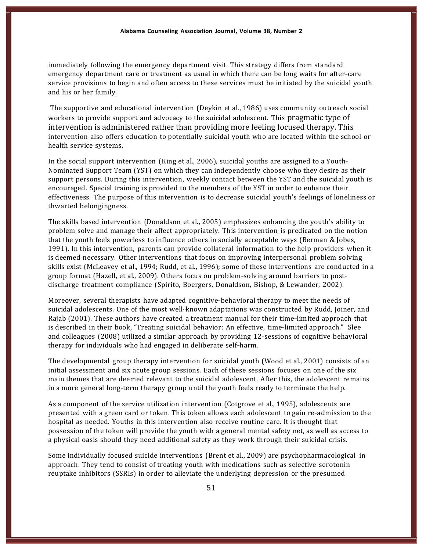immediately following the emergency department visit. This strategy differs from standard emergency department care or treatment as usual in which there can be long waits for after-care service provisions to begin and often access to these services must be initiated by the suicidal youth and his or her family.

The supportive and educational intervention (Deykin et al., 1986) uses community outreach social workers to provide support and advocacy to the suicidal adolescent. This pragmatic type of intervention is administered rather than providing more feeling focused therapy. This intervention also offers education to potentially suicidal youth who are located within the school or health service systems.

In the social support intervention (King et al., 2006), suicidal youths are assigned to a Youth--Nominated Support Team (YST) on which they can independently choose who they desire as their support persons. During this intervention, weekly contact between the YST and the suicidal youth is encouraged. Special training is provided to the members of the YST in order to enhance their effectiveness. The purpose of this intervention is to decrease suicidal youth's feelings of loneliness or thwarted belongingness.

The skills based intervention (Donaldson et al., 2005) emphasizes enhancing the youth's ability to problem solve and manage their affect appropriately. This intervention is predicated on the notion that the youth feels powerless to influence others in socially acceptable ways (Berman & Jobes, 1991). In this intervention, parents can provide collateral information to the help providers when it is deemed necessary. Other interventions that focus on improving interpersonal problem solving skills exist (McLeavey et al., 1994; Rudd, et al., 1996); some of these interventions are conducted in a group format (Hazell, et al., 2009). Others focus on problem-solving around barriers to postdischarge treatment compliance (Spirito, Boergers, Donaldson, Bishop, & Lewander, 2002).

Moreover, several therapists have adapted cognitive-behavioral therapy to meet the needs of suicidal adolescents. One of the most well-known adaptations was constructed by Rudd, Joiner, and Rajab (2001). These authors have created a treatment manual for their time-limited approach that is described in their book, "Treating suicidal behavior: An effective, time-limited approach." Slee and colleagues (2008) utilized a similar approach by providing 12-sessions of cognitive behavioral therapy for individuals who had engaged in deliberate self-harm.

The developmental group therapy intervention for suicidal youth (Wood et al., 2001) consists of an initial assessment and six acute group sessions. Each of these sessions focuses on one of the six main themes that are deemed relevant to the suicidal adolescent. After this, the adolescent remains in a more general long-term therapy group until the youth feels ready to terminate the help.

As a component of the service utilization intervention (Cotgrove et al., 1995), adolescents are presented with a green card or token. This token allows each adolescent to gain re-admission to the hospital as needed. Youths in this intervention also receive routine care. It is thought that possession of the token will provide the youth with a general mental safety net, as well as access to a physical oasis should they need additional safety as they work through their suicidal crisis.

Some individually focused suicide interventions (Brent et al., 2009) are psychopharmacological in approach. They tend to consist of treating youth with medications such as selective serotonin reuptake inhibitors (SSRIs) in order to alleviate the underlying depression or the presumed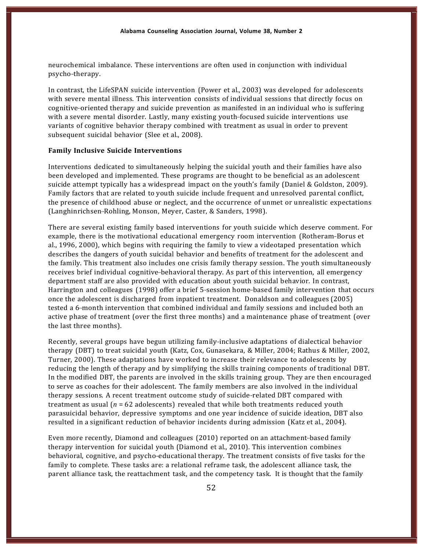neurochemical imbalance. These interventions are often used in conjunction with individual psycho-therapy.

In contrast, the LifeSPAN suicide intervention (Power et al., 2003) was developed for adolescents with severe mental illness. This intervention consists of individual sessions that directly focus on cognitive-oriented therapy and suicide prevention as manifested in an individual who is suffering with a severe mental disorder. Lastly, many existing youth-focused suicide interventions use variants of cognitive behavior therapy combined with treatment as usual in order to prevent subsequent suicidal behavior (Slee et al., 2008).

### **Family Inclusive Suicide Interventions**

Interventions dedicated to simultaneously helping the suicidal youth and their families have also been developed and implemented. These programs are thought to be beneficial as an adolescent suicide attempt typically has a widespread impact on the youth's family (Daniel & Goldston, 2009). Family factors that are related to youth suicide include frequent and unresolved parental conflict, the presence of childhood abuse or neglect, and the occurrence of unmet or unrealistic expectations (Langhinrichsen-Rohling, Monson, Meyer, Caster, & Sanders, 1998).

There are several existing family based interventions for youth suicide which deserve comment. For example, there is the motivational educational emergency room intervention (Rotheram-Borus et al., 1996, 2000), which begins with requiring the family to view a videotaped presentation which describes the dangers of youth suicidal behavior and benefits of treatment for the adolescent and the family. This treatment also includes one crisis family therapy session. The youth simultaneously receives brief individual cognitive-behavioral therapy. As part of this intervention, all emergency department staff are also provided with education about youth suicidal behavior. In contrast, Harrington and colleagues (1998) offer a brief 5-session home-based family intervention that occurs once the adolescent is discharged from inpatient treatment. Donaldson and colleagues (2005) tested a 6-month intervention that combined individual and family sessions and included both an active phase of treatment (over the first three months) and a maintenance phase of treatment (over the last three months).

Recently, several groups have begun utilizing family-inclusive adaptations of dialectical behavior therapy (DBT) to treat suicidal youth (Katz, Cox, Gunasekara, & Miller, 2004; Rathus & Miller, 2002, Turner, 2000). These adaptations have worked to increase their relevance to adolescents by reducing the length of therapy and by simplifying the skills training components of traditional DBT. In the modified DBT, the parents are involved in the skills training group. They are then encouraged to serve as coaches for their adolescent. The family members are also involved in the individual therapy sessions. A recent treatment outcome study of suicide-related DBT compared with treatment as usual  $(n = 62$  adolescents) revealed that while both treatments reduced youth parasuicidal behavior, depressive symptoms and one year incidence of suicide ideation, DBT also resulted in a significant reduction of behavior incidents during admission (Katz et al., 2004).

Even more recently, Diamond and colleagues (2010) reported on an attachment-based family therapy intervention for suicidal youth (Diamond et al., 2010). This intervention combines behavioral, cognitive, and psycho-educational therapy. The treatment consists of five tasks for the family to complete. These tasks are: a relational reframe task, the adolescent alliance task, the parent alliance task, the reattachment task, and the competency task. It is thought that the family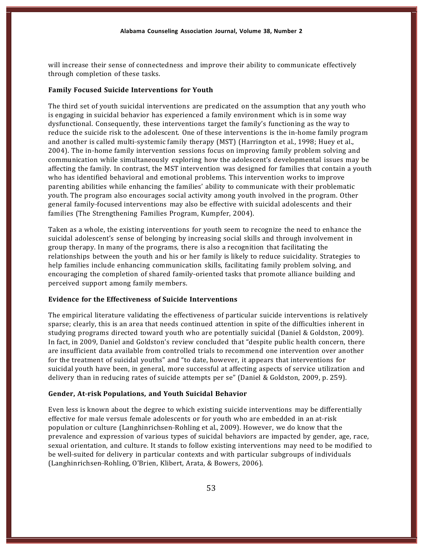will increase their sense of connectedness and improve their ability to communicate effectively through completion of these tasks.

# **Family Focused Suicide Interventions for Youth**

The third set of youth suicidal interventions are predicated on the assumption that any youth who is engaging in suicidal behavior has experienced a family environment which is in some way dysfunctional. Consequently, these interventions target the family's functioning as the way to reduce the suicide risk to the adolescent. One of these interventions is the in-home family program and another is called multi-systemic family therapy (MST) (Harrington et al., 1998; Huey et al., 2004). The in-home family intervention sessions focus on improving family problem solving and communication while simultaneously exploring how the adolescent's developmental issues may be affecting the family. In contrast, the MST intervention was designed for families that contain a youth who has identified behavioral and emotional problems. This intervention works to improve parenting abilities while enhancing the families' ability to communicate with their problematic youth. The program also encourages social activity among youth involved in the program. Other general family-focused interventions may also be effective with suicidal adolescents and their families (The Strengthening Families Program, Kumpfer, 2004).

Taken as a whole, the existing interventions for youth seem to recognize the need to enhance the suicidal adolescent's sense of belonging by increasing social skills and through involvement in group therapy. In many of the programs, there is also a recognition that facilitating the relationships between the youth and his or her family is likely to reduce suicidality. Strategies to help families include enhancing communication skills, facilitating family problem solving, and encouraging the completion of shared family-oriented tasks that promote alliance building and perceived support among family members.

#### **Evidence for the Effectiveness of Suicide Interventions**

The empirical literature validating the effectiveness of particular suicide interventions is relatively sparse; clearly, this is an area that needs continued attention in spite of the difficulties inherent in studying programs directed toward youth who are potentially suicidal (Daniel & Goldston, 2009). In fact, in 2009, Daniel and Goldston's review concluded that "despite public health concern, there are insufficient data available from controlled trials to recommend one intervention over another for the treatment of suicidal youths" and "to date, however, it appears that interventions for suicidal youth have been, in general, more successful at affecting aspects of service utilization and delivery than in reducing rates of suicide attempts per se" (Daniel & Goldston, 2009, p. 259).

#### **Gender, At---risk Populations, and Youth Suicidal Behavior**

Even less is known about the degree to which existing suicide interventions may be differentially effective for male versus female adolescents or for youth who are embedded in an at-risk population or culture (Langhinrichsen-Rohling et al., 2009). However, we do know that the prevalence and expression of various types of suicidal behaviors are impacted by gender, age, race, sexual orientation, and culture. It stands to follow existing interventions may need to be modified to be well-suited for delivery in particular contexts and with particular subgroups of individuals (Langhinrichsen-Rohling, O'Brien, Klibert, Arata, & Bowers, 2006).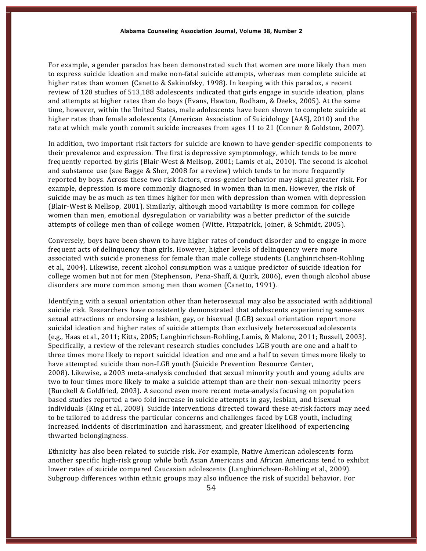For example, a gender paradox has been demonstrated such that women are more likely than men to express suicide ideation and make non-fatal suicide attempts, whereas men complete suicide at higher rates than women (Canetto & Sakinofsky, 1998). In keeping with this paradox, a recent review of 128 studies of 513,188 adolescents indicated that girls engage in suicide ideation, plans and attempts at higher rates than do boys (Evans, Hawton, Rodham, & Deeks, 2005). At the same time, however, within the United States, male adolescents have been shown to complete suicide at higher rates than female adolescents (American Association of Suicidology [AAS], 2010) and the rate at which male youth commit suicide increases from ages 11 to 21 (Conner & Goldston, 2007).

In addition, two important risk factors for suicide are known to have gender-specific components to their prevalence and expression. The first is depressive symptomology, which tends to be more frequently reported by girls (Blair-West & Mellsop, 2001; Lamis et al., 2010). The second is alcohol and substance use (see Bagge & Sher, 2008 for a review) which tends to be more frequently reported by boys. Across these two risk factors, cross-gender behavior may signal greater risk. For example, depression is more commonly diagnosed in women than in men. However, the risk of suicide may be as much as ten times higher for men with depression than women with depression (Blair-West & Mellsop, 2001). Similarly, although mood variability is more common for college women than men, emotional dysregulation or variability was a better predictor of the suicide attempts of college men than of college women (Witte, Fitzpatrick, Joiner, & Schmidt, 2005).

Conversely, boys have been shown to have higher rates of conduct disorder and to engage in more frequent acts of delinquency than girls. However, higher levels of delinquency were more associated with suicide proneness for female than male college students (Langhinrichsen-Rohling et al., 2004). Likewise, recent alcohol consumption was a unique predictor of suicide ideation for college women but not for men (Stephenson, Pena-Shaff, & Quirk, 2006), even though alcohol abuse disorders are more common among men than women (Canetto, 1991).

Identifying with a sexual orientation other than heterosexual may also be associated with additional suicide risk. Researchers have consistently demonstrated that adolescents experiencing same-sex sexual attractions or endorsing a lesbian, gay, or bisexual (LGB) sexual orientation report more suicidal ideation and higher rates of suicide attempts than exclusively heterosexual adolescents (e.g., Haas et al., 2011; Kitts, 2005; Langhinrichsen-Rohling, Lamis, & Malone, 2011; Russell, 2003). Specifically, a review of the relevant research studies concludes LGB youth are one and a half to three times more likely to report suicidal ideation and one and a half to seven times more likely to have attempted suicide than non-LGB youth (Suicide Prevention Resource Center, 2008). Likewise, a 2003 meta-analysis concluded that sexual minority youth and young adults are two to four times more likely to make a suicide attempt than are their non-sexual minority peers (Burckell & Goldfried, 2003). A second even more recent meta-analysis focusing on population based studies reported a two fold increase in suicide attempts in gay, lesbian, and bisexual individuals (King et al., 2008). Suicide interventions directed toward these at-risk factors may need to be tailored to address the particular concerns and challenges faced by LGB youth, including increased incidents of discrimination and harassment, and greater likelihood of experiencing thwarted belongingness.

Ethnicity has also been related to suicide risk. For example, Native American adolescents form another specific high-risk group while both Asian Americans and African Americans tend to exhibit lower rates of suicide compared Caucasian adolescents (Langhinrichsen-Rohling et al., 2009). Subgroup differences within ethnic groups may also influence the risk of suicidal behavior. For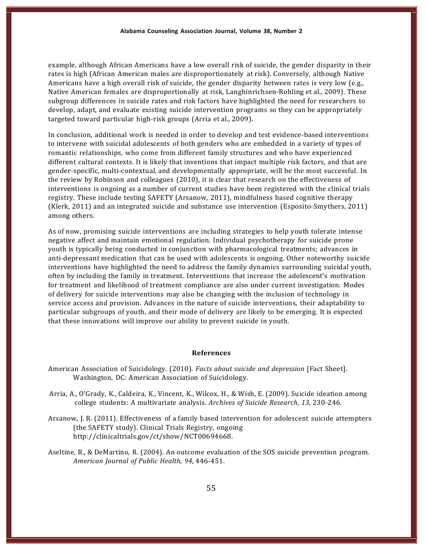example, although African Americans have a low overall risk of suicide, the gender disparity in their rates is high (African American males are disproportionately at risk). Conversely, although Native Americans have a high overall risk of suicide, the gender disparity between rates is very low (e.g., Native American females are disproportionally at risk, Langhinrichsen-Rohling et al., 2009). These subgroup differences in suicide rates and risk factors have highlighted the need for researchers to develop, adapt, and evaluate existing suicide intervention programs so they can be appropriately targeted toward particular high-risk groups (Arria et al., 2009).

In conclusion, additional work is needed in order to develop and test evidence-based interventions to intervene with suicidal adolescents of both genders who are embedded in a variety of types of romantic relationships, who come from different family structures and who have experienced different cultural contexts. It is likely that inventions that impact multiple risk factors, and that are gender-specific, multi-contextual, and developmentally appropriate, will be the most successful. In the review by Robinson and colleagues (2010), it is clear that research on the effectiveness of interventions is ongoing as a number of current studies have been registered with the clinical trials registry. These include testing SAFETY (Arsanow, 2011), mindfulness based cognitive therapy  $(Klerk, 2011)$  and an integrated suicide and substance use intervention  $(Kspostto-Smythers, 2011)$ among others.

As of now, promising suicide interventions are including strategies to help youth tolerate intense negative affect and maintain emotional regulation. Individual psychotherapy for suicide prone youth is typically being conducted in conjunction with pharmacological treatments; advances in anti-depressant medication that can be used with adolescents is ongoing. Other noteworthy suicide interventions have highlighted the need to address the family dynamics surrounding suicidal youth, often by including the family in treatment. Interventions that increase the adolescent's motivation for treatment and likelihood of treatment compliance are also under current investigation. Modes of delivery for suicide interventions may also be changing with the inclusion of technology in service access and provision. Advances in the nature of suicide interventions, their adaptability to particular subgroups of youth, and their mode of delivery are likely to be emerging. It is expected that these innovations will improve our ability to prevent suicide in youth.

### **References**

- American Association of Suicidology. (2010). *Facts about suicide and depression* [Fact Sheet]. Washington, DC: American Association of Suicidology.
- Arria, A., O'Grady, K., Caldeira, K., Vincent, K., Wilcox, H., & Wish, E. (2009). Suicide ideation among college students: A multivariate analysis. Archives of Suicide Research, 13, 230-246.
- Arsanow, J. R. (2011). Effectiveness of a family based intervention for adolescent suicide attempters (the SAFETY study). Clinical Trials Registry, ongoing http://clinicaltrials.gov/ct/show/NCT00694668.
- Aseltine, R., & DeMartino, R. (2004). An outcome evaluation of the SOS suicide prevention program. *American Journal of Public Health*, *94*, 446---451.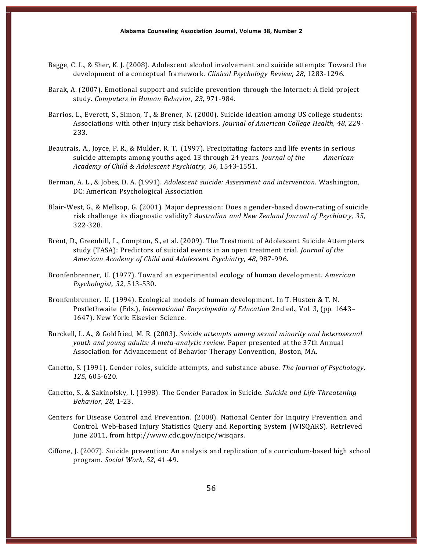- Bagge, C. L., & Sher, K. J. (2008). Adolescent alcohol involvement and suicide attempts: Toward the development of a conceptual framework. *Clinical Psychology Review*, 28, 1283-1296.
- Barak, A. (2007). Emotional support and suicide prevention through the Internet: A field project study. *Computers in Human Behavior, 23*, 971---984.
- Barrios, L., Everett, S., Simon, T., & Brener, N. (2000). Suicide ideation among US college students: Associations with other injury risk behaviors. *Journal of American College Health*, *48*, 229--- 233.
- Beautrais, A., Joyce, P. R., & Mulder, R. T. (1997). Precipitating factors and life events in serious suicide attempts among youths aged 13 through 24 years. *Journal of the American Academy of Child & Adolescent Psychiatry, 36,* 1543---1551.
- Berman, A. L., & Jobes, D. A. (1991). *Adolescent suicide: Assessment and intervention*. Washington, DC: American Psychological Association
- Blair-West, G., & Mellsop, G. (2001). Major depression: Does a gender-based down-rating of suicide risk challenge its diagnostic validity? *Australian and New Zealand Journal of Psychiatry*, *35*, 322-328.
- Brent, D., Greenhill, L., Compton, S., et al. (2009). The Treatment of Adolescent Suicide Attempters study (TASA): Predictors of suicidal events in an open treatment trial. *Journal of the American Academy of Child and Adolescent Psychiatry*, *48*, 987---996.
- Bronfenbrenner, U. (1977). Toward an experimental ecology of human development. *American Psychologist, 32, 513-530.*
- Bronfenbrenner, U. (1994). Ecological models of human development. In T. Husten & T. N. Postlethwaite (Eds.), *International Encyclopedia of Education* 2nd ed., Vol. 3, (pp. 1643– 1647). New York: Elsevier Science.
- Burckell, L. A., & Goldfried, M. R. (2003). *Suicide attempts among sexual minority and heterosexual youth and young adults: A meta---analytic review*. Paper presented at the 37th Annual Association for Advancement of Behavior Therapy Convention, Boston, MA.
- Canetto, S. (1991). Gender roles, suicide attempts, and substance abuse. *The Journal of Psychology*, *125*, 605-620.
- Canetto, S., & Sakinofsky, I. (1998). The Gender Paradox in Suicide. *Suicide and Life-Threatening Behavior*, 28, 1-23.
- Centers for Disease Control and Prevention. (2008). National Center for Inquiry Prevention and Control. Web-based Injury Statistics Query and Reporting System (WISQARS). Retrieved June 2011, from http://www.cdc.gov/ncipc/wisqars.
- Ciffone, J. (2007). Suicide prevention: An analysis and replication of a curriculum-based high school program. *Social Work*, *52*, 41---49.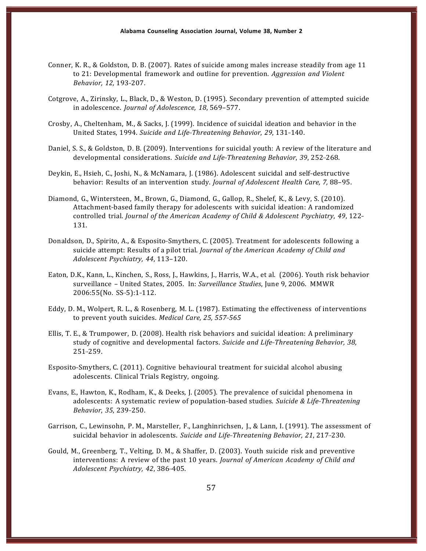- Conner, K. R., & Goldston, D. B. (2007). Rates of suicide among males increase steadily from age 11 to 21: Developmental framework and outline for prevention. *Aggression and Violent Behavior, 12, 193-207.*
- Cotgrove, A., Zirinsky, L., Black, D., & Weston, D. (1995). Secondary prevention of attempted suicide in adolescence. *Journal of Adolescence, 18*, 569–577.
- Crosby, A., Cheltenham, M., & Sacks, J. (1999). Incidence of suicidal ideation and behavior in the United States, 1994. *Suicide and Life---Threatening Behavior*, *29*, 131---140.
- Daniel, S. S., & Goldston, D. B. (2009). Interventions for suicidal youth: A review of the literature and developmental considerations. *Suicide and Life-Threatening Behavior*, 39, 252-268.
- Deykin, E., Hsieh, C., Joshi, N., & McNamara, J. (1986). Adolescent suicidal and self-destructive behavior: Results of an intervention study. *Journal of Adolescent Health Care, 7,* 88–95.
- Diamond, G., Wintersteen, M., Brown, G., Diamond, G., Gallop, R., Shelef, K., & Levy, S. (2010). Attachment-based family therapy for adolescents with suicidal ideation: A randomized controlled trial. *Journal of the American Academy of Child & Adolescent Psychiatry*, *49*, 122--- 131.
- Donaldson, D., Spirito, A., & Esposito-Smythers, C. (2005). Treatment for adolescents following a suicide attempt: Results of a pilot trial. *Journal of the American Academy of Child and Adolescent Psychiatry, 44*, 113–120.
- Eaton, D.K., Kann, L., Kinchen, S., Ross, J., Hawkins, J., Harris, W.A., et al. (2006). Youth risk behavior surveillance – United States, 2005. In: *Surveillance Studies*, June 9, 2006. MMWR 2006:55(No. SS-5):1-112.
- Eddy, D. M., Wolpert, R. L., & Rosenberg, M. L. (1987). Estimating the effectiveness of interventions to prevent youth suicides. *Medical Care, 25, 557---565*
- Ellis, T. E., & Trumpower, D. (2008). Health risk behaviors and suicidal ideation: A preliminary study of cognitive and developmental factors. *Suicide and Life-Threatening Behavior*, 38, 251-259.
- Esposito-Smythers, C. (2011). Cognitive behavioural treatment for suicidal alcohol abusing adolescents. Clinical Trials Registry, ongoing.
- Evans, E., Hawton, K., Rodham, K., & Deeks, J. (2005). The prevalence of suicidal phenomena in adolescents: A systematic review of population-based studies. *Suicide & Life-Threatening Behavior*, 35, 239-250.
- Garrison, C., Lewinsohn, P. M., Marsteller, F., Langhinrichsen, J., & Lann, I. (1991). The assessment of suicidal behavior in adolescents. Suicide and Life-Threatening Behavior, 21, 217-230.
- Gould, M., Greenberg, T., Velting, D. M., & Shaffer, D. (2003). Youth suicide risk and preventive interventions: A review of the past 10 years. *Journal of American Academy of Child and Adolescent Psychiatry, 42*, 386---405.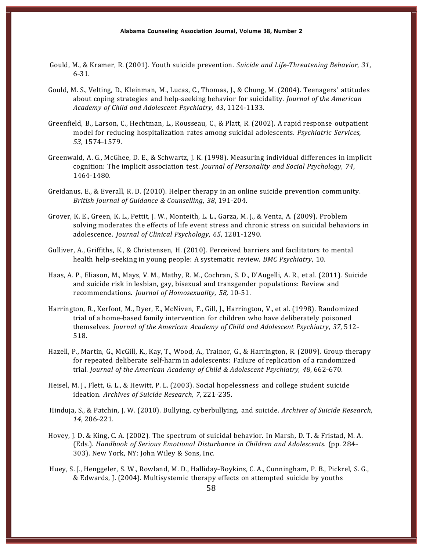- Gould, M., & Kramer, R. (2001). Youth suicide prevention. *Suicide and Life-Threatening Behavior*, 31,  $6 - 31$ .
- Gould, M. S., Velting, D., Kleinman, M., Lucas, C., Thomas, J., & Chung, M. (2004). Teenagers' attitudes about coping strategies and help-seeking behavior for suicidality. *Journal of the American Academy of Child and Adolescent Psychiatry*, *43*, 1124---1133.
- Greenfield, B., Larson, C., Hechtman, L., Rousseau, C., & Platt, R. (2002). A rapid response outpatient model for reducing hospitalization rates among suicidal adolescents. *Psychiatric Services,* 53, 1574-1579.
- Greenwald, A. G., McGhee, D. E., & Schwartz, J. K. (1998). Measuring individual differences in implicit cognition: The implicit association test. *Journal of Personality and Social Psychology*, *74*, 1464-1480.
- Greidanus, E., & Everall, R. D. (2010). Helper therapy in an online suicide prevention community. *British Journal of Guidance & Counselling*, *38*, 191---204.
- Grover, K. E., Green, K. L., Pettit, J. W., Monteith, L. L., Garza, M. J., & Venta, A. (2009). Problem solving moderates the effects of life event stress and chronic stress on suicidal behaviors in adolescence. *Journal of Clinical Psychology*, 65, 1281-1290.
- Gulliver, A., Griffiths, K., & Christensen, H. (2010). Perceived barriers and facilitators to mental health help-seeking in young people: A systematic review. *BMC Psychiatry*, 10.
- Haas, A. P., Eliason, M., Mays, V. M., Mathy, R. M., Cochran, S. D., D'Augelli, A. R., et al. (2011). Suicide and suicide risk in lesbian, gay, bisexual and transgender populations: Review and recommendations. *Journal of Homosexuality*, 58, 10-51.
- Harrington, R., Kerfoot, M., Dyer, E., McNiven, F., Gill, J., Harrington, V., et al. (1998). Randomized trial of a home-based family intervention for children who have deliberately poisoned themselves. *Journal of the American Academy of Child and Adolescent Psychiatry*, *37*, 512--- 518.
- Hazell, P., Martin, G., McGill, K., Kay, T., Wood, A., Trainor, G., & Harrington, R. (2009). Group therapy for repeated deliberate self-harm in adolescents: Failure of replication of a randomized *terial. <i>Journal of the American Academy of Child & Adolescent Psychiatry, 48, 662-670.*
- Heisel, M. J., Flett, G. L., & Hewitt, P. L. (2003). Social hopelessness and college student suicide ideation. Archives of Suicide Research, 7, 221-235.
- Hinduja, S., & Patchin, J. W. (2010). Bullying, cyberbullying, and suicide. *Archives of Suicide Research*, *14*, 206-221.
- Hovey, J. D. & King, C. A. (2002). The spectrum of suicidal behavior. In Marsh, D. T. & Fristad, M. A. (Eds.). *Handbook of Serious Emotional Disturbance in Children and Adolescents*. (pp. 284--- 303). New York, NY: John Wiley & Sons, Inc.
- Huey, S. J., Henggeler, S. W., Rowland, M. D., Halliday-Boykins, C. A., Cunningham, P. B., Pickrel, S. G., & Edwards, J. (2004). Multisystemic therapy effects on attempted suicide by youths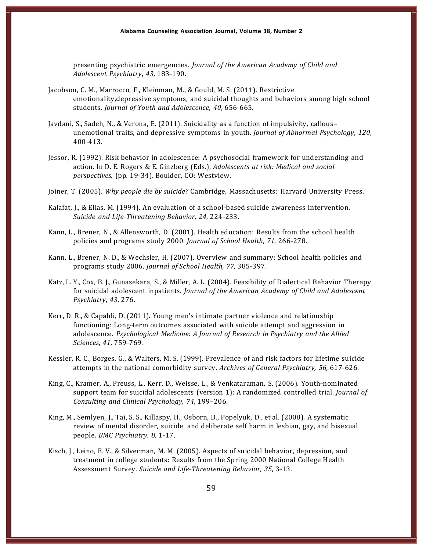presenting psychiatric emergencies. *Journal of the American Academy of Child and Adolescent Psychiatry, 43, 183-190.* 

- Jacobson, C. M., Marrocco, F., Kleinman, M., & Gould, M. S. (2011). Restrictive emotionality,depressive symptoms, and suicidal thoughts and behaviors among high school students. *Journal of Youth and Adolescence*, 40, 656-665.
- Javdani, S., Sadeh, N., & Verona, E. (2011). Suicidality as a function of impulsivity, callous– unemotional traits, and depressive symptoms in youth. *Journal of Abnormal Psychology*, *120*, 400-413.
- Jessor, R. (1992). Risk behavior in adolescence: A psychosocial framework for understanding and action. In D. E. Rogers & E. Ginzberg (Eds.), *Adolescents at risk: Medical and social perspectives.* (pp. 19-34). Boulder, CO: Westview.
- Joiner, T. (2005). *Why people die by suicide?* Cambridge, Massachusetts: Harvard University Press.
- Kalafat, J., & Elias, M. (1994). An evaluation of a school-based suicide awareness intervention. *Suicide and Life-Threatening Behavior, 24, 224-233.*
- Kann, L., Brener, N., & Allensworth, D. (2001). Health education: Results from the school health policies and programs study 2000. *Journal of School Health*, 71, 266-278.
- Kann, L., Brener, N. D., & Wechsler, H. (2007). Overview and summary: School health policies and programs study 2006. *Journal of School Health, 77,* 385---397.
- Katz, L. Y., Cox, B. J., Gunasekara, S., & Miller, A. L. (2004). Feasibility of Dialectical Behavior Therapy for suicidal adolescent inpatients. *Journal of the American Academy of Child and Adolescent Psychiatry*, *43*, 276.
- Kerr, D. R., & Capaldi, D. (2011). Young men's intimate partner violence and relationship functioning: Long-term outcomes associated with suicide attempt and aggression in adolescence. *Psychological Medicine: A Journal of Research in Psychiatry and the Allied Sciences*, 41, 759-769.
- Kessler, R. C., Borges, G., & Walters, M. S. (1999). Prevalence of and risk factors for lifetime suicide attempts in the national comorbidity survey. Archives of General Psychiatry, 56, 617-626.
- King, C., Kramer, A., Preuss, L., Kerr, D., Weisse, L., & Venkataraman, S. (2006). Youth-nominated support team for suicidal adolescents (version 1): A randomized controlled trial. *Journal of Consulting and Clinical Psychology, 74*, 199–206.
- King, M., Semlyen, J., Tai, S. S., Killaspy, H., Osborn, D., Popelyuk, D., et al. (2008). A systematic review of mental disorder, suicide, and deliberate self harm in lesbian, gay, and bisexual people. *BMC Psychiatry*, 8, 1-17.
- Kisch, J., Leino, E. V., & Silverman, M. M. (2005). Aspects of suicidal behavior, depression, and treatment in college students: Results from the Spring 2000 National College Health Assessment Survey. Suicide and Life-Threatening Behavior, 35, 3-13.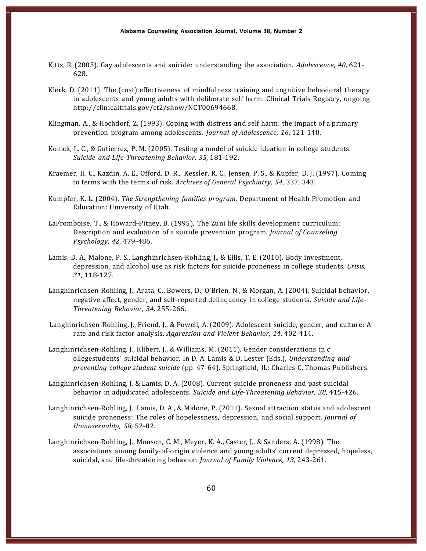- Kitts, R. (2005). Gay adolescents and suicide: understanding the association. *Adolescence*, 40, 621– 628.
- Klerk, D. (2011). The (cost) effectiveness of mindfulness training and cognitive behavioral therapy in adolescents and young adults with deliberate self harm. Clinical Trials Registry, ongoing http://clinicaltrials.gov/ct2/show/NCT00694668.
- Klingman, A., & Hochdorf, Z. (1993). Coping with distress and self harm: the impact of a primary prevention program among adolescents. *Journal of Adolescence*, 16, 121-140.
- Konick, L. C., & Gutierrez, P. M. (2005). Testing a model of suicide ideation in college students. *Suicide and Life-Threatening Behavior, 35, 181-192.*
- Kraemer, H. C., Kazdin, A. E., Offord, D. R., Kessler, R. C., Jensen, P. S., & Kupfer, D. J. (1997). Coming to terms with the terms of risk. *Archives of General Psychiatry, 54*, 337, 343.
- Kumpfer, K. L. (2004). *The Strengthening families program.* Department of Health Promotion and Education: University of Utah.
- LaFromboise, T., & Howard-Pitney, B. (1995). The Zuni life skills development curriculum: Description and evaluation of a suicide prevention program. *Journal of Counseling Psychology*, 42, 479-486.
- Lamis, D. A., Malone, P. S., Langhinrichsen-Rohling, J., & Ellis, T. E. (2010). Body investment, depression, and alcohol use as risk factors for suicide proneness in college students. *Crisis,* 31, 118-127.
- Langhinrichsen-Rohling, J., Arata, C., Bowers, D., O'Brien, N., & Morgan, A. (2004). Suicidal behavior, negative affect, gender, and self-reported delinquency in college students. *Suicide and Life-Threatening Behavior, 34,* 255---266.
- Langhinrichsen-Rohling, J., Friend, J., & Powell, A. (2009). Adolescent suicide, gender, and culture: A rate and risk factor analysis. *Aggression and Violent Behavior*, 14, 402-414.
- Langhinrichsen-Rohling, J., Klibert, J., & Williams, M. (2011). Gender considerations in c ollegestudents' suicidal behavior. In D. A. Lamis & D. Lester (Eds.), *Understanding and preventing college student suicide* (pp. 47-64). Springfield, IL: Charles C. Thomas Publishers.
- Langhinrichsen-Rohling, J. & Lamis, D. A. (2008). Current suicide proneness and past suicidal behavior in adjudicated adolescents. *Suicide and Life-Threatening Behavior*, 38, 415-426.
- Langhinrichsen-Rohling, J., Lamis, D. A., & Malone, P. (2011). Sexual attraction status and adolescent suicide proneness: The roles of hopelessness, depression, and social support. *Journal of Homosexuality, 58, 52-82.*
- Langhinrichsen--Rohling, J., Monson, C. M., Meyer, K. A., Caster, J., & Sanders, A. (1998). The associations among family-of-origin violence and young adults' current depressed, hopeless, suicidal, and life-threatening behavior. *Journal of Family Violence*, 13, 243-261.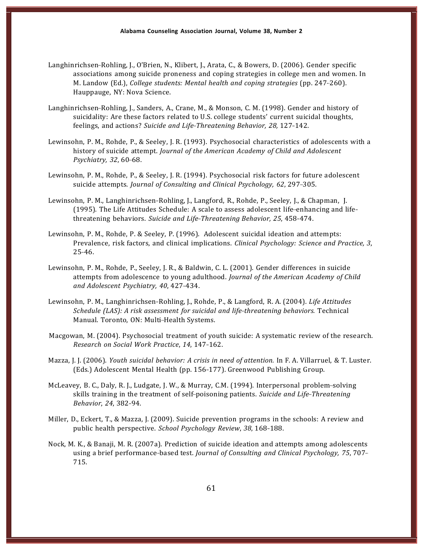- Langhinrichsen-Rohling, J., O'Brien, N., Klibert, J., Arata, C., & Bowers, D. (2006). Gender specific associations among suicide proneness and coping strategies in college men and women. In M. Landow (Ed.), *College students: Mental health and coping strategies* (pp. 247-260). Hauppauge, NY: Nova Science.
- Langhinrichsen-Rohling, J., Sanders, A., Crane, M., & Monson, C. M. (1998). Gender and history of suicidality: Are these factors related to U.S. college students' current suicidal thoughts, feelings, and actions? Suicide and Life-Threatening Behavior, 28, 127-142.
- Lewinsohn, P. M., Rohde, P., & Seeley, J. R. (1993). Psychosocial characteristics of adolescents with a history of suicide attempt. *Journal of the American Academy of Child and Adolescent Psychiatry, 32, 60-68.*
- Lewinsohn, P. M., Rohde, P., & Seeley, J. R. (1994). Psychosocial risk factors for future adolescent suicide attempts. *Journal of Consulting and Clinical Psychology, 62, 297-305.*
- Lewinsohn, P. M., Langhinrichsen-Rohling, J., Langford, R., Rohde, P., Seeley, J., & Chapman, J.  $(1995)$ . The Life Attitudes Schedule: A scale to assess adolescent life-enhancing and lifethreatening behaviors. *Suicide and Life---Threatening Behavior, 25*, 458---474.
- Lewinsohn, P. M., Rohde, P. & Seeley, P. (1996). Adolescent suicidal ideation and attempts: Prevalence, risk factors, and clinical implications. *Clinical Psychology: Science and Practice, 3*,  $25 - 46.$
- Lewinsohn, P. M., Rohde, P., Seeley, J. R., & Baldwin, C. L. (2001). Gender differences in suicide attempts from adolescence to young adulthood. *Journal of the American Academy of Child and Adolescent Psychiatry, 40*, 427---434.
- Lewinsohn, P. M., Langhinrichsen-Rohling, J., Rohde, P., & Langford, R. A. (2004). *Life Attitudes Schedule (LAS): A risk assessment for suicidal and life---threatening behaviors.* Technical Manual. Toronto, ON: Multi-Health Systems.
- Macgowan, M. (2004). Psychosocial treatment of youth suicide: A systematic review of the research. *Research on Social Work Practice*, *14*, 147---162.
- Mazza, J. J. (2006). *Youth suicidal behavior: A crisis in need of attention.* In F. A. Villarruel, & T. Luster. (Eds.) Adolescent Mental Health (pp. 156-177). Greenwood Publishing Group.
- McLeavey, B. C., Daly, R. J., Ludgate, J. W., & Murray, C.M. (1994). Interpersonal problem-solving skills training in the treatment of self-poisoning patients. *Suicide and Life-Threatening Behavior, 24, 382-94.*
- Miller, D., Eckert, T., & Mazza, J. (2009). Suicide prevention programs in the schools: A review and public health perspective. *School Psychology Review*, 38, 168-188.
- Nock, M. K., & Banaji, M. R. (2007a). Prediction of suicide ideation and attempts among adolescents using a brief performance-based test. *Journal of Consulting and Clinical Psychology, 75, 707-*715.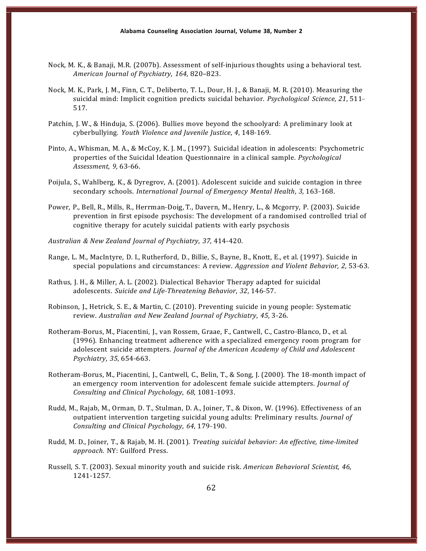- Nock, M. K., & Banaji, M.R. (2007b). Assessment of self-injurious thoughts using a behavioral test. *American Journal of Psychiatry*, *164*, 820–823.
- Nock, M. K., Park, J. M., Finn, C. T., Deliberto, T. L., Dour, H. J., & Banaji, M. R. (2010). Measuring the suicidal mind: Implicit cognition predicts suicidal behavior. *Psychological Science*, *21*, 511--- 517.
- Patchin, J. W., & Hinduja, S. (2006). Bullies move beyond the schoolyard: A preliminary look at cyberbullying. *Youth Violence and Juvenile Justice*, 4, 148-169.
- Pinto, A., Whisman, M. A., & McCoy, K. J. M., (1997). Suicidal ideation in adolescents: Psychometric properties of the Suicidal Ideation Questionnaire in a clinical sample. *Psychological Assessment, 9, 63-66.*
- Poijula, S., Wahlberg, K., & Dyregrov, A. (2001). Adolescent suicide and suicide contagion in three secondary schools. *International Journal of Emergency Mental Health*, 3, 163-168.
- Power, P., Bell, R., Mills, R., Herrman-Doig, T., Davern, M., Henry, L., & Mcgorry, P. (2003). Suicide prevention in first episode psychosis: The development of a randomised controlled trial of cognitive therapy for acutely suicidal patients with early psychosis
- *Australian & New Zealand Journal of Psychiatry*, *37*, 414---420.
- Range, L. M., MacIntyre, D. I., Rutherford, D., Billie, S., Bayne, B., Knott, E., et al. (1997). Suicide in special populations and circumstances: A review. *Aggression and Violent Behavior*, 2, 53-63.
- Rathus, J. H., & Miller, A. L. (2002). Dialectical Behavior Therapy adapted for suicidal adolescents. Suicide and Life-Threatening Behavior, 32, 146-57.
- Robinson, J., Hetrick, S. E., & Martin, C. (2010). Preventing suicide in young people: Systematic review. Australian and New Zealand Journal of Psychiatry, 45, 3-26.
- Rotheram-Borus, M., Piacentini, J., van Rossem, Graae, F., Cantwell, C., Castro-Blanco, D., et al. (1996). Enhancing treatment adherence with a specialized emergency room program for adolescent suicide attempters. *Journal of the American Academy of Child and Adolescent Psychiatry*, 35, 654-663.
- Rotheram-Borus, M., Piacentini, J., Cantwell, C., Belin, T., & Song, J. (2000). The 18-month impact of an emergency room intervention for adolescent female suicide attempters. *Journal of Consulting and Clinical Psychology, 68, 1081-1093.*
- Rudd, M., Rajab, M., Orman, D. T., Stulman, D. A., Joiner, T., & Dixon, W. (1996). Effectiveness of an outpatient intervention targeting suicidal young adults: Preliminary results. *Journal of Consulting and Clinical Psychology, 64, 179-190.*
- Rudd, M. D., Joiner, T., & Rajab, M. H. (2001). *Treating suicidal behavior: An effective, time-limited approach.* NY: Guilford Press.
- Russell, S. T. (2003). Sexual minority youth and suicide risk. *American Behavioral Scientist, 46*, 1241-1257.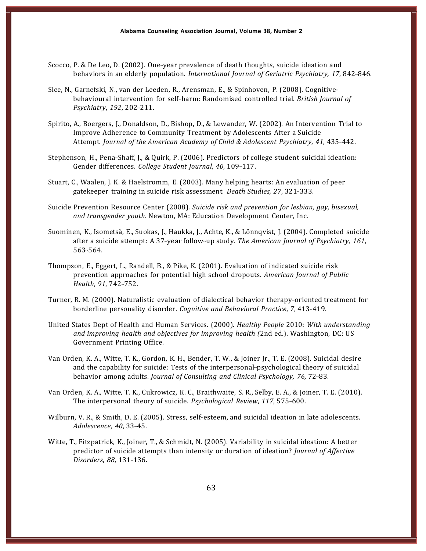- Scocco, P. & De Leo, D. (2002). One-year prevalence of death thoughts, suicide ideation and behaviors in an elderly population. *International Journal of Geriatric Psychiatry, 17, 842-846.*
- Slee, N., Garnefski, N., van der Leeden, R., Arensman, E., & Spinhoven, P. (2008). Cognitivebehavioural intervention for self-harm: Randomised controlled trial. *British Journal of Psychiatry*, 192, 202-211.
- Spirito, A., Boergers, J., Donaldson, D., Bishop, D., & Lewander, W. (2002). An Intervention Trial to Improve Adherence to Community Treatment by Adolescents After a Suicide Attempt. *Journal of the American Academy of Child & Adolescent Psychiatry*, *41*, 435---442.
- Stephenson, H., Pena-Shaff, J., & Quirk, P. (2006). Predictors of college student suicidal ideation: Gender differences. College Student Journal, 40, 109-117.
- Stuart, C., Waalen, J. K. & Haelstromm, E. (2003). Many helping hearts: An evaluation of peer gatekeeper training in suicide risk assessment. *Death Studies*, 27, 321-333.
- Suicide Prevention Resource Center (2008). *Suicide risk and prevention for lesbian, gay, bisexual, and transgender youth.* Newton, MA: Education Development Center, Inc.
- Suominen, K., Isometsä, E., Suokas, J., Haukka, J., Achte, K., & Lönnqvist, J. (2004). Completed suicide after a suicide attempt: A 37-year follow-up study. The American *Journal of Psychiatry*, 161, 563-564.
- Thompson, E., Eggert, L., Randell, B., & Pike, K. (2001). Evaluation of indicated suicide risk prevention approaches for potential high school dropouts. *American Journal of Public Health*, 91, 742-752.
- Turner, R. M. (2000). Naturalistic evaluation of dialectical behavior therapy-oriented treatment for borderline personality disorder. *Cognitive and Behavioral Practice*, 7, 413-419.
- United States Dept of Health and Human Services. (2000). *Healthy People* 2010: *With understanding and improving health and objectives for improving health (*2nd ed.). Washington, DC: US Government Printing Office.
- Van Orden, K. A., Witte, T. K., Gordon, K. H., Bender, T. W., & Joiner Jr., T. E. (2008). Suicidal desire and the capability for suicide: Tests of the interpersonal-psychological theory of suicidal behavior among adults. *Journal of Consulting and Clinical Psychology, 76, 72-83.*
- Van Orden, K. A., Witte, T. K., Cukrowicz, K. C., Braithwaite, S. R., Selby, E. A., & Joiner, T. E. (2010). The interpersonal theory of suicide. *Psychological Review*, 117, 575-600.
- Wilburn, V. R., & Smith, D. E. (2005). Stress, self-esteem, and suicidal ideation in late adolescents. *Adolescence*, *40*, 33---45.
- Witte, T., Fitzpatrick, K., Joiner, T., & Schmidt, N. (2005). Variability in suicidal ideation: A better predictor of suicide attempts than intensity or duration of ideation? *Journal of Affective Disorders*, 88, 131-136.